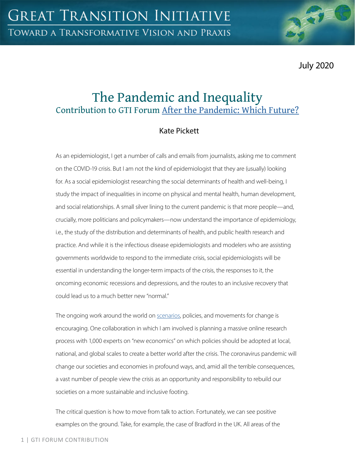July 2020

# The Pandemic and Inequality Contribution to GTI Forum [After the Pandemic: Which Future?](https://greattransition.org/gti-forum/after-the-pandemic-which-future-1)

## Kate Pickett

As an epidemiologist, I get a number of calls and emails from journalists, asking me to comment on the COVID-19 crisis. But I am not the kind of epidemiologist that they are (usually) looking for. As a social epidemiologist researching the social determinants of health and well-being, I study the impact of inequalities in income on physical and mental health, human development, and social relationships. A small silver lining to the current pandemic is that more people—and, crucially, more politicians and policymakers—now understand the importance of epidemiology, i.e., the study of the distribution and determinants of health, and public health research and practice. And while it is the infectious disease epidemiologists and modelers who are assisting governments worldwide to respond to the immediate crisis, social epidemiologists will be essential in understanding the longer-term impacts of the crisis, the responses to it, the oncoming economic recessions and depressions, and the routes to an inclusive recovery that could lead us to a much better new "normal."

The ongoing work around the world on [scenarios,](https://greattransition.org/explore/scenarios/taxonomy) policies, and movements for change is encouraging. One collaboration in which I am involved is planning a massive online research process with 1,000 experts on "new economics" on which policies should be adopted at local, national, and global scales to create a better world after the crisis. The coronavirus pandemic will change our societies and economies in profound ways, and, amid all the terrible consequences, a vast number of people view the crisis as an opportunity and responsibility to rebuild our societies on a more sustainable and inclusive footing.

The critical question is how to move from talk to action. Fortunately, we can see positive examples on the ground. Take, for example, the case of Bradford in the UK. All areas of the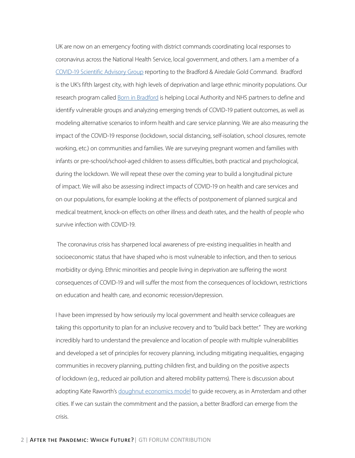UK are now on an emergency footing with district commands coordinating local responses to coronavirus across the National Health Service, local government, and others. I am a member of a [COVID-19 Scientific Advisory Group](https://www.bradfordresearch.nhs.uk/c-sag/) reporting to the Bradford & Airedale Gold Command. Bradford is the UK's fifth largest city, with high levels of deprivation and large ethnic minority populations. Our research program called [Born in Bradford](https://borninbradford.nhs.uk/what-we-do/pregnancy-early-years/born-in-bradford/) is helping Local Authority and NHS partners to define and identify vulnerable groups and analyzing emerging trends of COVID-19 patient outcomes, as well as modeling alternative scenarios to inform health and care service planning. We are also measuring the impact of the COVID-19 response (lockdown, social distancing, self-isolation, school closures, remote working, etc.) on communities and families. We are surveying pregnant women and families with infants or pre-school/school-aged children to assess difficulties, both practical and psychological, during the lockdown. We will repeat these over the coming year to build a longitudinal picture of impact. We will also be assessing indirect impacts of COVID-19 on health and care services and on our populations, for example looking at the effects of postponement of planned surgical and medical treatment, knock-on effects on other illness and death rates, and the health of people who survive infection with COVID-19.

 The coronavirus crisis has sharpened local awareness of pre-existing inequalities in health and socioeconomic status that have shaped who is most vulnerable to infection, and then to serious morbidity or dying. Ethnic minorities and people living in deprivation are suffering the worst consequences of COVID-19 and will suffer the most from the consequences of lockdown, restrictions on education and health care, and economic recession/depression.

I have been impressed by how seriously my local government and health service colleagues are taking this opportunity to plan for an inclusive recovery and to "build back better." They are working incredibly hard to understand the prevalence and location of people with multiple vulnerabilities and developed a set of principles for recovery planning, including mitigating inequalities, engaging communities in recovery planning, putting children first, and building on the positive aspects of lockdown (e.g., reduced air pollution and altered mobility patterns). There is discussion about adopting Kate Raworth's [doughnut economics model](https://greattransition.org/publication/dollars-doughnuts) to guide recovery, as in Amsterdam and other cities. If we can sustain the commitment and the passion, a better Bradford can emerge from the crisis.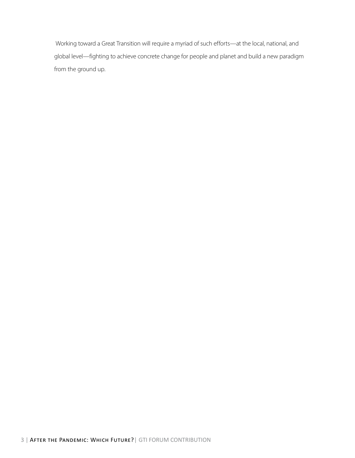Working toward a Great Transition will require a myriad of such efforts—at the local, national, and global level—fighting to achieve concrete change for people and planet and build a new paradigm from the ground up.